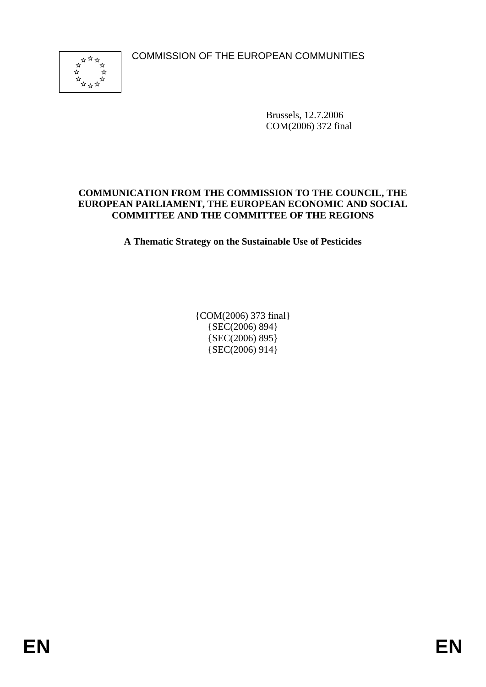COMMISSION OF THE EUROPEAN COMMUNITIES



Brussels, 12.7.2006 COM(2006) 372 final

#### **COMMUNICATION FROM THE COMMISSION TO THE COUNCIL, THE EUROPEAN PARLIAMENT, THE EUROPEAN ECONOMIC AND SOCIAL COMMITTEE AND THE COMMITTEE OF THE REGIONS**

**A Thematic Strategy on the Sustainable Use of Pesticides** 

{COM(2006) 373 final} {SEC(2006) 894} {SEC(2006) 895} {SEC(2006) 914}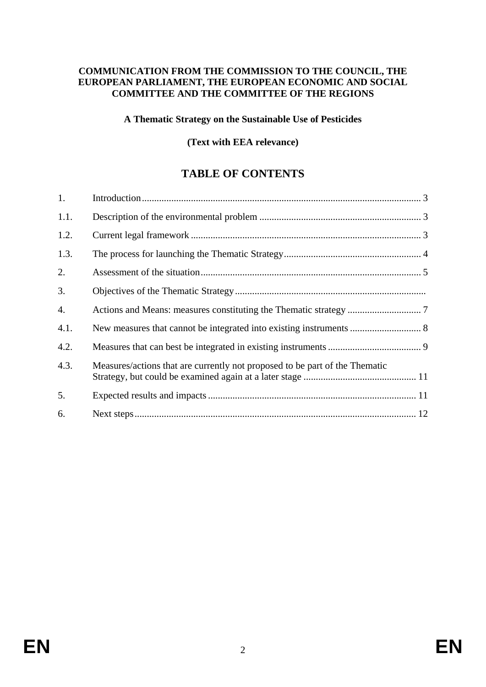#### **COMMUNICATION FROM THE COMMISSION TO THE COUNCIL, THE EUROPEAN PARLIAMENT, THE EUROPEAN ECONOMIC AND SOCIAL COMMITTEE AND THE COMMITTEE OF THE REGIONS**

#### **A Thematic Strategy on the Sustainable Use of Pesticides**

#### **(Text with EEA relevance)**

# **TABLE OF CONTENTS**

| 1.   |                                                                             |  |
|------|-----------------------------------------------------------------------------|--|
| 1.1. |                                                                             |  |
| 1.2. |                                                                             |  |
| 1.3. |                                                                             |  |
| 2.   |                                                                             |  |
| 3.   |                                                                             |  |
| 4.   |                                                                             |  |
| 4.1. |                                                                             |  |
| 4.2. |                                                                             |  |
| 4.3. | Measures/actions that are currently not proposed to be part of the Thematic |  |
| 5.   |                                                                             |  |
| 6.   |                                                                             |  |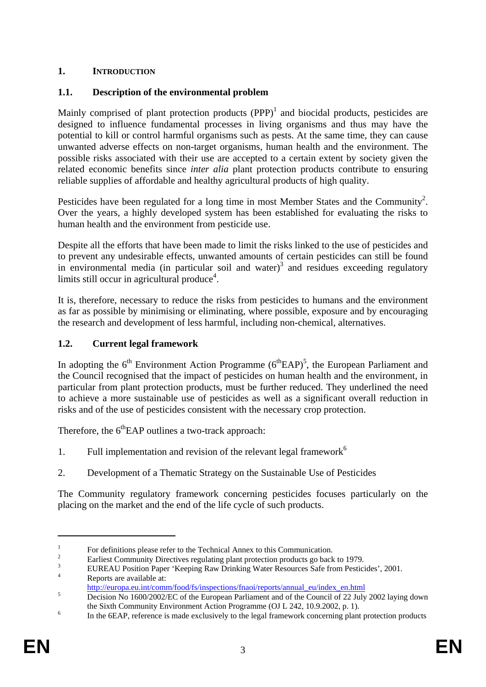# **1. INTRODUCTION**

# **1.1. Description of the environmental problem**

Mainly comprised of plant protection products  $(PPP)^1$  and biocidal products, pesticides are designed to influence fundamental processes in living organisms and thus may have the potential to kill or control harmful organisms such as pests. At the same time, they can cause unwanted adverse effects on non-target organisms, human health and the environment. The possible risks associated with their use are accepted to a certain extent by society given the related economic benefits since *inter alia* plant protection products contribute to ensuring reliable supplies of affordable and healthy agricultural products of high quality.

Pesticides have been regulated for a long time in most Member States and the Community<sup>2</sup>. Over the years, a highly developed system has been established for evaluating the risks to human health and the environment from pesticide use.

Despite all the efforts that have been made to limit the risks linked to the use of pesticides and to prevent any undesirable effects, unwanted amounts of certain pesticides can still be found in environmental media (in particular soil and water)<sup>3</sup> and residues exceeding regulatory limits still occur in agricultural produce $4$ .

It is, therefore, necessary to reduce the risks from pesticides to humans and the environment as far as possible by minimising or eliminating, where possible, exposure and by encouraging the research and development of less harmful, including non-chemical, alternatives.

## **1.2. Current legal framework**

In adopting the  $6<sup>th</sup>$  Environment Action Programme  $(6<sup>th</sup>EAP)<sup>5</sup>$ , the European Parliament and the Council recognised that the impact of pesticides on human health and the environment, in particular from plant protection products, must be further reduced. They underlined the need to achieve a more sustainable use of pesticides as well as a significant overall reduction in risks and of the use of pesticides consistent with the necessary crop protection.

Therefore, the  $6<sup>th</sup>$ EAP outlines a two-track approach:

- 1. Full implementation and revision of the relevant legal framework<sup> $6$ </sup>
- 2. Development of a Thematic Strategy on the Sustainable Use of Pesticides

The Community regulatory framework concerning pesticides focuses particularly on the placing on the market and the end of the life cycle of such products.

<sup>1</sup> For definitions please refer to the Technical Annex to this Communication.

<sup>2</sup> Earliest Community Directives regulating plant protection products go back to 1979.

<sup>3</sup> EUREAU Position Paper 'Keeping Raw Drinking Water Resources Safe from Pesticides', 2001.

<sup>4</sup> Reports are available at:

http://europa.eu.int/comm/food/fs/inspections/fnaoi/reports/annual\_eu/index\_en.html

Decision No 1600/2002/EC of the European Parliament and of the Council of 22 July 2002 laying down the Sixth Community Environment Action Programme (OJ L 242, 10.9.2002, p. 1).

In the 6EAP, reference is made exclusively to the legal framework concerning plant protection products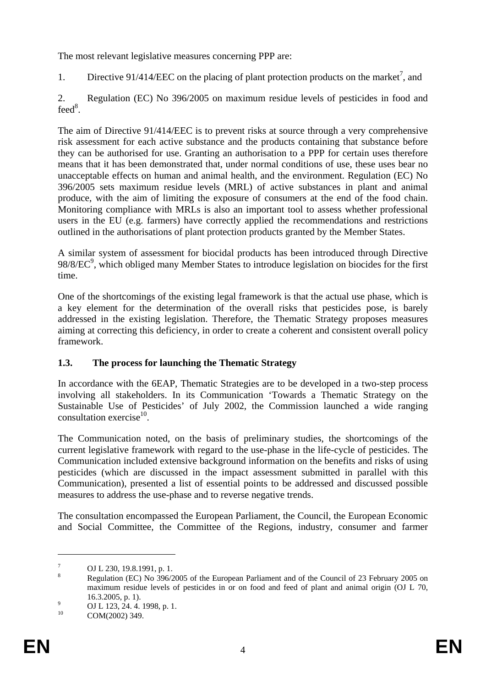The most relevant legislative measures concerning PPP are:

1. Directive 91/414/EEC on the placing of plant protection products on the market<sup>7</sup>, and

2. Regulation (EC) No 396/2005 on maximum residue levels of pesticides in food and  $\text{feed}^8$ .

The aim of Directive 91/414/EEC is to prevent risks at source through a very comprehensive risk assessment for each active substance and the products containing that substance before they can be authorised for use. Granting an authorisation to a PPP for certain uses therefore means that it has been demonstrated that, under normal conditions of use, these uses bear no unacceptable effects on human and animal health, and the environment. Regulation (EC) No 396/2005 sets maximum residue levels (MRL) of active substances in plant and animal produce, with the aim of limiting the exposure of consumers at the end of the food chain. Monitoring compliance with MRLs is also an important tool to assess whether professional users in the EU (e.g. farmers) have correctly applied the recommendations and restrictions outlined in the authorisations of plant protection products granted by the Member States.

A similar system of assessment for biocidal products has been introduced through Directive  $98/8/EC<sup>9</sup>$ , which obliged many Member States to introduce legislation on biocides for the first time.

One of the shortcomings of the existing legal framework is that the actual use phase, which is a key element for the determination of the overall risks that pesticides pose, is barely addressed in the existing legislation. Therefore, the Thematic Strategy proposes measures aiming at correcting this deficiency, in order to create a coherent and consistent overall policy framework.

# **1.3. The process for launching the Thematic Strategy**

In accordance with the 6EAP, Thematic Strategies are to be developed in a two-step process involving all stakeholders. In its Communication 'Towards a Thematic Strategy on the Sustainable Use of Pesticides' of July 2002, the Commission launched a wide ranging  $\text{const}^{10}$ 

The Communication noted, on the basis of preliminary studies, the shortcomings of the current legislative framework with regard to the use-phase in the life-cycle of pesticides. The Communication included extensive background information on the benefits and risks of using pesticides (which are discussed in the impact assessment submitted in parallel with this Communication), presented a list of essential points to be addressed and discussed possible measures to address the use-phase and to reverse negative trends.

The consultation encompassed the European Parliament, the Council, the European Economic and Social Committee, the Committee of the Regions, industry, consumer and farmer

<sup>7</sup> OJ L 230, 19.8.1991, p. 1.

<sup>8</sup> Regulation (EC) No 396/2005 of the European Parliament and of the Council of 23 February 2005 on maximum residue levels of pesticides in or on food and feed of plant and animal origin (OJ L 70,  $16.3.2005$ , p. 1).

 $^{9}$  OJ L 123, 24. 4. 1998, p. 1.

COM(2002) 349.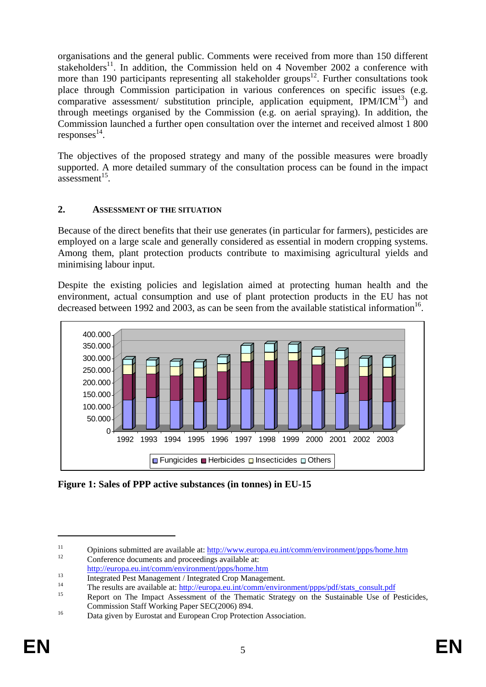organisations and the general public. Comments were received from more than 150 different stakeholders<sup>11</sup>. In addition, the Commission held on 4 November 2002 a conference with more than 190 participants representing all stakeholder groups<sup>12</sup>. Further consultations took place through Commission participation in various conferences on specific issues (e.g. comparative assessment/ substitution principle, application equipment,  $IPM/ICM<sup>13</sup>$  and through meetings organised by the Commission (e.g. on aerial spraying). In addition, the Commission launched a further open consultation over the internet and received almost 1 800 responses 14.

The objectives of the proposed strategy and many of the possible measures were broadly supported. A more detailed summary of the consultation process can be found in the impact assessment $15$ .

### **2. ASSESSMENT OF THE SITUATION**

Because of the direct benefits that their use generates (in particular for farmers), pesticides are employed on a large scale and generally considered as essential in modern cropping systems. Among them, plant protection products contribute to maximising agricultural yields and minimising labour input.

Despite the existing policies and legislation aimed at protecting human health and the environment, actual consumption and use of plant protection products in the EU has not decreased between 1992 and 2003, as can be seen from the available statistical information<sup>16</sup>.



**Figure 1: Sales of PPP active substances (in tonnes) in EU-15** 

<sup>11</sup> Opinions submitted are available at:  $\frac{http://www.europa.eu.int/comm/environment/ppps/home.htm}{12}$  Conference documents and proceedings available at:

http://europa.eu.int/comm/environment/ppps/home.htm<br>Integrated Pest Management / Integrated Crop Management.

<sup>&</sup>lt;sup>14</sup> The results are available at:  $\frac{http://europa.eu.int/comm/environment/ppps/pdf/stats~consult.pdf}{\text{Report on The Impact Assessment of the Thematic Strategy on the Sustainable Use of Pesticides}}$ 

Commission Staff Working Paper SEC(2006) 894.<br>
Data given by Eurostat and European Crop Protection Association.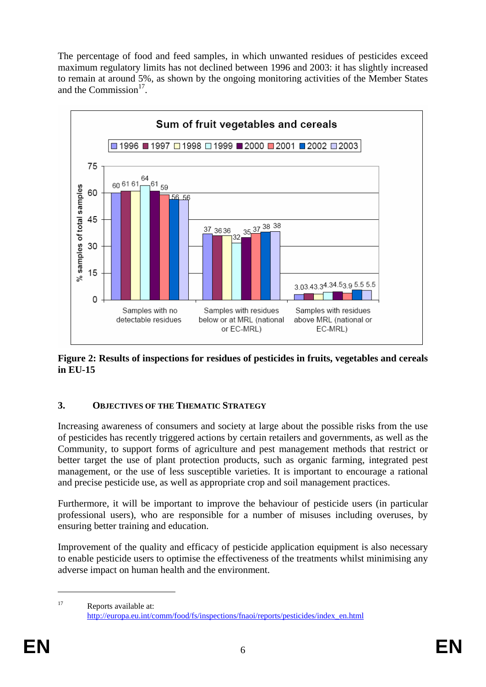The percentage of food and feed samples, in which unwanted residues of pesticides exceed maximum regulatory limits has not declined between 1996 and 2003: it has slightly increased to remain at around 5%, as shown by the ongoing monitoring activities of the Member States and the Commission<sup>17</sup>



**Figure 2: Results of inspections for residues of pesticides in fruits, vegetables and cereals in EU-15** 

### **3. OBJECTIVES OF THE THEMATIC STRATEGY**

Increasing awareness of consumers and society at large about the possible risks from the use of pesticides has recently triggered actions by certain retailers and governments, as well as the Community, to support forms of agriculture and pest management methods that restrict or better target the use of plant protection products, such as organic farming, integrated pest management, or the use of less susceptible varieties. It is important to encourage a rational and precise pesticide use, as well as appropriate crop and soil management practices.

Furthermore, it will be important to improve the behaviour of pesticide users (in particular professional users), who are responsible for a number of misuses including overuses, by ensuring better training and education.

Improvement of the quality and efficacy of pesticide application equipment is also necessary to enable pesticide users to optimise the effectiveness of the treatments whilst minimising any adverse impact on human health and the environment.

<sup>17</sup> Reports available at: http://europa.eu.int/comm/food/fs/inspections/fnaoi/reports/pesticides/index\_en.html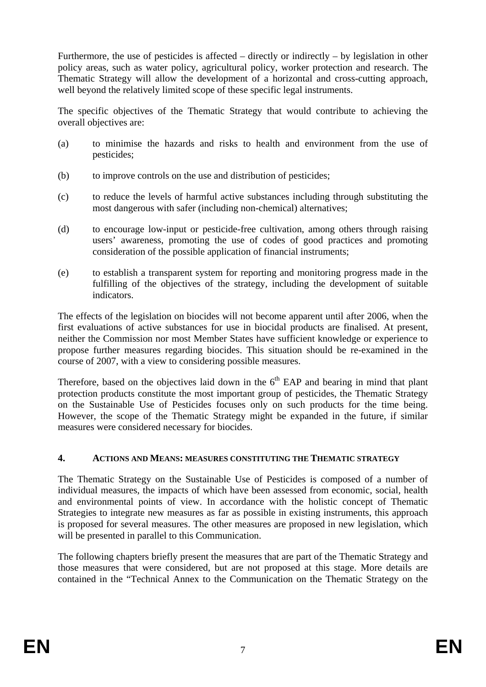Furthermore, the use of pesticides is affected – directly or indirectly – by legislation in other policy areas, such as water policy, agricultural policy, worker protection and research. The Thematic Strategy will allow the development of a horizontal and cross-cutting approach, well beyond the relatively limited scope of these specific legal instruments.

The specific objectives of the Thematic Strategy that would contribute to achieving the overall objectives are:

- (a) to minimise the hazards and risks to health and environment from the use of pesticides;
- (b) to improve controls on the use and distribution of pesticides;
- (c) to reduce the levels of harmful active substances including through substituting the most dangerous with safer (including non-chemical) alternatives;
- (d) to encourage low-input or pesticide-free cultivation, among others through raising users' awareness, promoting the use of codes of good practices and promoting consideration of the possible application of financial instruments;
- (e) to establish a transparent system for reporting and monitoring progress made in the fulfilling of the objectives of the strategy, including the development of suitable indicators.

The effects of the legislation on biocides will not become apparent until after 2006, when the first evaluations of active substances for use in biocidal products are finalised. At present, neither the Commission nor most Member States have sufficient knowledge or experience to propose further measures regarding biocides. This situation should be re-examined in the course of 2007, with a view to considering possible measures.

Therefore, based on the objectives laid down in the  $6<sup>th</sup>$  EAP and bearing in mind that plant protection products constitute the most important group of pesticides, the Thematic Strategy on the Sustainable Use of Pesticides focuses only on such products for the time being. However, the scope of the Thematic Strategy might be expanded in the future, if similar measures were considered necessary for biocides.

### **4. ACTIONS AND MEANS: MEASURES CONSTITUTING THE THEMATIC STRATEGY**

The Thematic Strategy on the Sustainable Use of Pesticides is composed of a number of individual measures, the impacts of which have been assessed from economic, social, health and environmental points of view. In accordance with the holistic concept of Thematic Strategies to integrate new measures as far as possible in existing instruments, this approach is proposed for several measures. The other measures are proposed in new legislation, which will be presented in parallel to this Communication.

The following chapters briefly present the measures that are part of the Thematic Strategy and those measures that were considered, but are not proposed at this stage. More details are contained in the "Technical Annex to the Communication on the Thematic Strategy on the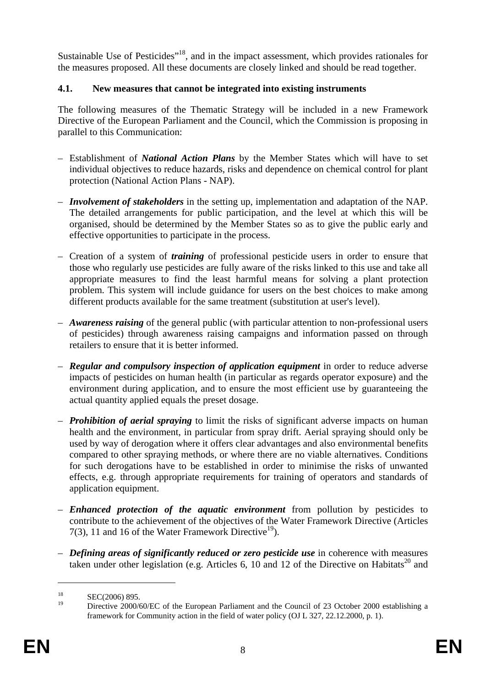Sustainable Use of Pesticides<sup>"18</sup>, and in the impact assessment, which provides rationales for the measures proposed. All these documents are closely linked and should be read together.

# **4.1. New measures that cannot be integrated into existing instruments**

The following measures of the Thematic Strategy will be included in a new Framework Directive of the European Parliament and the Council, which the Commission is proposing in parallel to this Communication:

- Establishment of *National Action Plans* by the Member States which will have to set individual objectives to reduce hazards, risks and dependence on chemical control for plant protection (National Action Plans - NAP).
- *Involvement of stakeholders* in the setting up, implementation and adaptation of the NAP. The detailed arrangements for public participation, and the level at which this will be organised, should be determined by the Member States so as to give the public early and effective opportunities to participate in the process.
- Creation of a system of *training* of professional pesticide users in order to ensure that those who regularly use pesticides are fully aware of the risks linked to this use and take all appropriate measures to find the least harmful means for solving a plant protection problem. This system will include guidance for users on the best choices to make among different products available for the same treatment (substitution at user's level).
- *Awareness raising* of the general public (with particular attention to non-professional users of pesticides) through awareness raising campaigns and information passed on through retailers to ensure that it is better informed.
- *Regular and compulsory inspection of application equipment* in order to reduce adverse impacts of pesticides on human health (in particular as regards operator exposure) and the environment during application, and to ensure the most efficient use by guaranteeing the actual quantity applied equals the preset dosage.
- *Prohibition of aerial spraying* to limit the risks of significant adverse impacts on human health and the environment, in particular from spray drift. Aerial spraying should only be used by way of derogation where it offers clear advantages and also environmental benefits compared to other spraying methods, or where there are no viable alternatives. Conditions for such derogations have to be established in order to minimise the risks of unwanted effects, e.g. through appropriate requirements for training of operators and standards of application equipment.
- *Enhanced protection of the aquatic environment* from pollution by pesticides to contribute to the achievement of the objectives of the Water Framework Directive (Articles 7(3), 11 and 16 of the Water Framework Directive<sup>19</sup>).
- *Defining areas of significantly reduced or zero pesticide use* in coherence with measures taken under other legislation (e.g. Articles 6, 10 and 12 of the Directive on Habitats<sup>20</sup> and

 $\text{SEC}(2006) 895.$ 

Directive 2000/60/EC of the European Parliament and the Council of 23 October 2000 establishing a framework for Community action in the field of water policy (OJ L 327, 22.12.2000, p. 1).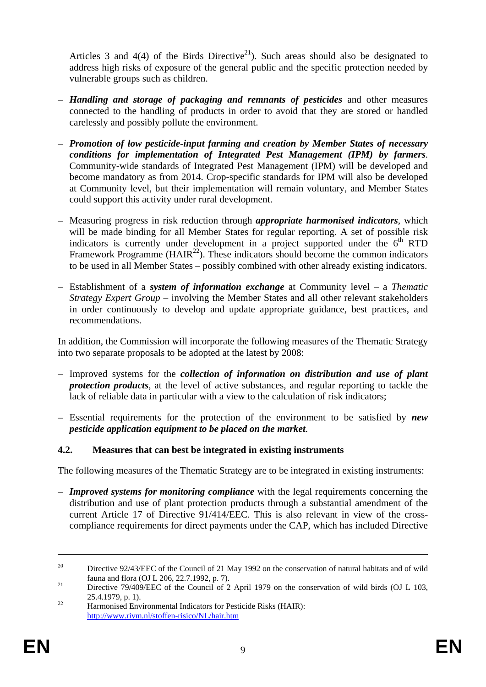Articles 3 and 4(4) of the Birds Directive<sup>21</sup>). Such areas should also be designated to address high risks of exposure of the general public and the specific protection needed by vulnerable groups such as children.

- *Handling and storage of packaging and remnants of pesticides* and other measures connected to the handling of products in order to avoid that they are stored or handled carelessly and possibly pollute the environment.
- *Promotion of low pesticide-input farming and creation by Member States of necessary conditions for implementation of Integrated Pest Management (IPM) by farmers*. Community-wide standards of Integrated Pest Management (IPM) will be developed and become mandatory as from 2014. Crop-specific standards for IPM will also be developed at Community level, but their implementation will remain voluntary, and Member States could support this activity under rural development.
- Measuring progress in risk reduction through *appropriate harmonised indicators*, which will be made binding for all Member States for regular reporting. A set of possible risk indicators is currently under development in a project supported under the  $6<sup>th</sup>$  RTD Framework Programme  $(HAIR<sup>22</sup>)$ . These indicators should become the common indicators to be used in all Member States – possibly combined with other already existing indicators.
- Establishment of a *system of information exchange* at Community level a *Thematic Strategy Expert Group* – involving the Member States and all other relevant stakeholders in order continuously to develop and update appropriate guidance, best practices, and recommendations.

In addition, the Commission will incorporate the following measures of the Thematic Strategy into two separate proposals to be adopted at the latest by 2008:

- Improved systems for the *collection of information on distribution and use of plant protection products*, at the level of active substances, and regular reporting to tackle the lack of reliable data in particular with a view to the calculation of risk indicators;
- Essential requirements for the protection of the environment to be satisfied by *new pesticide application equipment to be placed on the market*.

### **4.2. Measures that can best be integrated in existing instruments**

The following measures of the Thematic Strategy are to be integrated in existing instruments:

– *Improved systems for monitoring compliance* with the legal requirements concerning the distribution and use of plant protection products through a substantial amendment of the current Article 17 of Directive 91/414/EEC. This is also relevant in view of the crosscompliance requirements for direct payments under the CAP, which has included Directive

<sup>&</sup>lt;sup>20</sup> Directive 92/43/EEC of the Council of 21 May 1992 on the conservation of natural habitats and of wild

fauna and flora (OJ L 206, 22.7.1992, p. 7).<br>Directive 79/409/EEC of the Council of 2 April 1979 on the conservation of wild birds (OJ L 103, 25.4.1979, p. 1).<br>
Harmonised Environmental Indicators for Pesticide Risks (HAIR):

http://www.rivm.nl/stoffen-risico/NL/hair.htm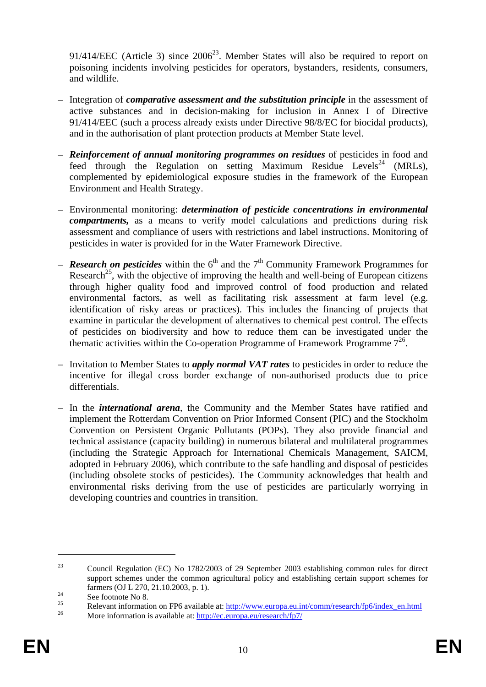$91/414/EEC$  (Article 3) since  $2006^{23}$ . Member States will also be required to report on poisoning incidents involving pesticides for operators, bystanders, residents, consumers, and wildlife.

- Integration of *comparative assessment and the substitution principle* in the assessment of active substances and in decision-making for inclusion in Annex I of Directive 91/414/EEC (such a process already exists under Directive 98/8/EC for biocidal products), and in the authorisation of plant protection products at Member State level.
- *Reinforcement of annual monitoring programmes on residues* of pesticides in food and feed through the Regulation on setting Maximum Residue Levels<sup>24</sup> (MRLs), complemented by epidemiological exposure studies in the framework of the European Environment and Health Strategy.
- Environmental monitoring: *determination of pesticide concentrations in environmental compartments,* as a means to verify model calculations and predictions during risk assessment and compliance of users with restrictions and label instructions. Monitoring of pesticides in water is provided for in the Water Framework Directive.
- **Research on pesticides** within the  $6<sup>th</sup>$  and the  $7<sup>th</sup>$  Community Framework Programmes for Research<sup>25</sup>, with the objective of improving the health and well-being of European citizens through higher quality food and improved control of food production and related environmental factors, as well as facilitating risk assessment at farm level (e.g. identification of risky areas or practices). This includes the financing of projects that examine in particular the development of alternatives to chemical pest control. The effects of pesticides on biodiversity and how to reduce them can be investigated under the thematic activities within the Co-operation Programme of Framework Programme  $7^{26}$ .
- Invitation to Member States to *apply normal VAT rates* to pesticides in order to reduce the incentive for illegal cross border exchange of non-authorised products due to price differentials.
- In the *international arena*, the Community and the Member States have ratified and implement the Rotterdam Convention on Prior Informed Consent (PIC) and the Stockholm Convention on Persistent Organic Pollutants (POPs). They also provide financial and technical assistance (capacity building) in numerous bilateral and multilateral programmes (including the Strategic Approach for International Chemicals Management, SAICM, adopted in February 2006), which contribute to the safe handling and disposal of pesticides (including obsolete stocks of pesticides). The Community acknowledges that health and environmental risks deriving from the use of pesticides are particularly worrying in developing countries and countries in transition.

<sup>23</sup> Council Regulation (EC) No 1782/2003 of 29 September 2003 establishing common rules for direct support schemes under the common agricultural policy and establishing certain support schemes for farmers (OJ L 270, 21.10.2003, p. 1).<br>See footnote No 8.<br>25 Delayed is famalian as  $\sum_{i=1}^{n}$ 

<sup>&</sup>lt;sup>25</sup><br>Relevant information on FP6 available at:  $\frac{http://www.europa.eu.int/comm/research/fp6/index_en.html}{http://ec.europa.eu/research/fp7/}$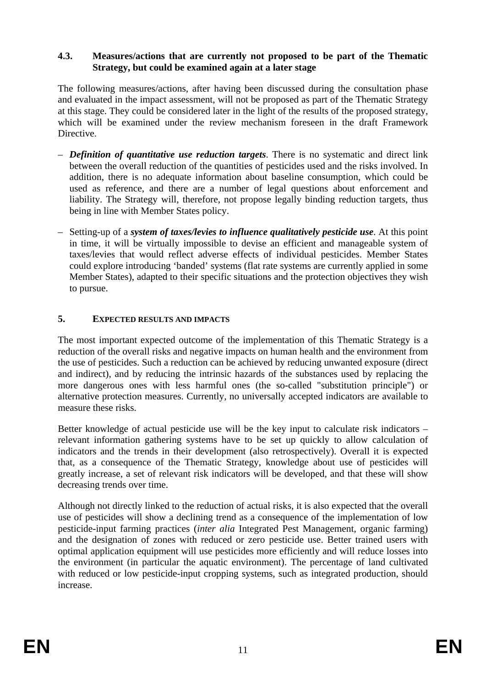#### **4.3. Measures/actions that are currently not proposed to be part of the Thematic Strategy, but could be examined again at a later stage**

The following measures/actions, after having been discussed during the consultation phase and evaluated in the impact assessment, will not be proposed as part of the Thematic Strategy at this stage. They could be considered later in the light of the results of the proposed strategy, which will be examined under the review mechanism foreseen in the draft Framework Directive.

- *Definition of quantitative use reduction targets*. There is no systematic and direct link between the overall reduction of the quantities of pesticides used and the risks involved. In addition, there is no adequate information about baseline consumption, which could be used as reference, and there are a number of legal questions about enforcement and liability. The Strategy will, therefore, not propose legally binding reduction targets, thus being in line with Member States policy.
- Setting-up of a *system of taxes/levies to influence qualitatively pesticide use*. At this point in time, it will be virtually impossible to devise an efficient and manageable system of taxes/levies that would reflect adverse effects of individual pesticides. Member States could explore introducing 'banded' systems (flat rate systems are currently applied in some Member States), adapted to their specific situations and the protection objectives they wish to pursue.

### **5. EXPECTED RESULTS AND IMPACTS**

The most important expected outcome of the implementation of this Thematic Strategy is a reduction of the overall risks and negative impacts on human health and the environment from the use of pesticides. Such a reduction can be achieved by reducing unwanted exposure (direct and indirect), and by reducing the intrinsic hazards of the substances used by replacing the more dangerous ones with less harmful ones (the so-called "substitution principle") or alternative protection measures. Currently, no universally accepted indicators are available to measure these risks.

Better knowledge of actual pesticide use will be the key input to calculate risk indicators – relevant information gathering systems have to be set up quickly to allow calculation of indicators and the trends in their development (also retrospectively). Overall it is expected that, as a consequence of the Thematic Strategy, knowledge about use of pesticides will greatly increase, a set of relevant risk indicators will be developed, and that these will show decreasing trends over time.

Although not directly linked to the reduction of actual risks, it is also expected that the overall use of pesticides will show a declining trend as a consequence of the implementation of low pesticide-input farming practices (*inter alia* Integrated Pest Management, organic farming) and the designation of zones with reduced or zero pesticide use. Better trained users with optimal application equipment will use pesticides more efficiently and will reduce losses into the environment (in particular the aquatic environment). The percentage of land cultivated with reduced or low pesticide-input cropping systems, such as integrated production, should increase.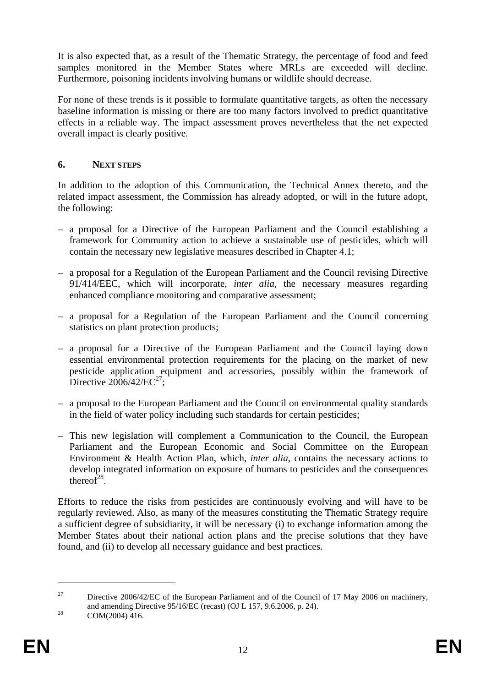It is also expected that, as a result of the Thematic Strategy, the percentage of food and feed samples monitored in the Member States where MRLs are exceeded will decline. Furthermore, poisoning incidents involving humans or wildlife should decrease.

For none of these trends is it possible to formulate quantitative targets, as often the necessary baseline information is missing or there are too many factors involved to predict quantitative effects in a reliable way. The impact assessment proves nevertheless that the net expected overall impact is clearly positive.

#### **6. NEXT STEPS**

In addition to the adoption of this Communication, the Technical Annex thereto, and the related impact assessment, the Commission has already adopted, or will in the future adopt, the following:

- a proposal for a Directive of the European Parliament and the Council establishing a framework for Community action to achieve a sustainable use of pesticides, which will contain the necessary new legislative measures described in Chapter 4.1;
- a proposal for a Regulation of the European Parliament and the Council revising Directive 91/414/EEC, which will incorporate, *inter alia*, the necessary measures regarding enhanced compliance monitoring and comparative assessment;
- a proposal for a Regulation of the European Parliament and the Council concerning statistics on plant protection products;
- a proposal for a Directive of the European Parliament and the Council laying down essential environmental protection requirements for the placing on the market of new pesticide application equipment and accessories, possibly within the framework of Directive  $2006/42/EC^{27}$ ;
- a proposal to the European Parliament and the Council on environmental quality standards in the field of water policy including such standards for certain pesticides;
- This new legislation will complement a Communication to the Council, the European Parliament and the European Economic and Social Committee on the European Environment & Health Action Plan, which, *inter alia*, contains the necessary actions to develop integrated information on exposure of humans to pesticides and the consequences thereof $28$ .

Efforts to reduce the risks from pesticides are continuously evolving and will have to be regularly reviewed. Also, as many of the measures constituting the Thematic Strategy require a sufficient degree of subsidiarity, it will be necessary (i) to exchange information among the Member States about their national action plans and the precise solutions that they have found, and (ii) to develop all necessary guidance and best practices.

<sup>&</sup>lt;sup>27</sup> Directive 2006/42/EC of the European Parliament and of the Council of 17 May 2006 on machinery, and amending Directive 95/16/EC (recast) (OJ L 157, 9.6.2006, p. 24).<br>COM(2004) 416.